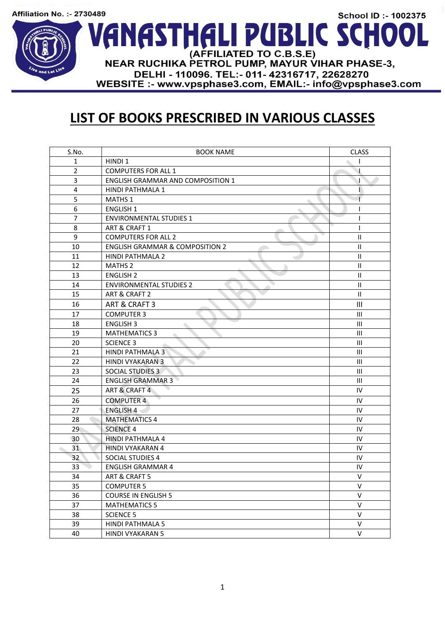## School ID :- 1002375 VANASTHALI PUBLIC SCHOOI (AFFILIATED TO C.B.S.E) NEAR RUCHIKA PETROL PUMP, MAYUR VIHAR PHASE-3, DELHI - 110096. TEL: - 011 - 42316717, 22628270 WEBSITE :- www.vpsphase3.com, EMAIL:- info@vpsphase3.com

## **LIST OF BOOKS PRESCRIBED IN VARIOUS CLASSES**

| S.No.           | <b>BOOK NAME</b>                           | <b>CLASS</b>                       |
|-----------------|--------------------------------------------|------------------------------------|
| $\mathbf{1}$    | HINDI 1                                    |                                    |
| $\overline{2}$  | <b>COMPUTERS FOR ALL 1</b>                 | 1                                  |
| 3               | <b>ENGLISH GRAMMAR AND COMPOSITION 1</b>   | Τ                                  |
| 4               | HINDI PATHMALA 1                           | Г                                  |
| 5               | MATHS 1                                    |                                    |
| 6               | <b>ENGLISH 1</b>                           | I                                  |
| $\overline{7}$  | <b>ENVIRONMENTAL STUDIES 1</b>             | ı                                  |
| 8               | ART & CRAFT 1                              | I                                  |
| 9               | <b>COMPUTERS FOR ALL 2</b>                 | $\mathbf{H}$                       |
| 10              | <b>ENGLISH GRAMMAR &amp; COMPOSITION 2</b> | $\mathbf{II}$                      |
| 11              | <b>HINDI PATHMALA 2</b>                    | $\mathbf{II}$                      |
| 12              | <b>MATHS 2</b>                             | $\mathbf{II}$                      |
| 13              | <b>ENGLISH 2</b>                           | $\mathbf{H}$                       |
| 14              | <b>ENVIRONMENTAL STUDIES 2</b>             | $\mathbf{II}$                      |
| 15              | ART & CRAFT 2                              | $\mathbf{II}$                      |
| 16              | ART & CRAFT 3                              | Ш                                  |
| 17              | <b>COMPUTER 3</b>                          | $\mathbf{III}$                     |
| 18              | <b>ENGLISH 3</b>                           | Ш                                  |
| 19              | <b>MATHEMATICS 3</b>                       | $\mathbf{III}$                     |
| 20              | <b>SCIENCE 3</b>                           | $\mathbf{III}$                     |
| 21              | <b>HINDI PATHMALA 3</b>                    | Ш                                  |
| 22              | <b>HINDI VYAKARAN 3</b>                    | $\ensuremath{\mathsf{III}}\xspace$ |
| 23              | <b>SOCIAL STUDIES 3</b>                    | III                                |
| 24              | <b>ENGLISH GRAMMAR 3</b>                   | Ш                                  |
| 25              | ART & CRAFT 4                              | IV                                 |
| 26              | <b>COMPUTER 4</b>                          | IV                                 |
| 27              | <b>ENGLISH 4</b>                           | IV                                 |
| 28              | <b>MATHEMATICS 4</b>                       | IV                                 |
| 29              | <b>SCIENCE 4</b>                           | ${\sf IV}$                         |
| 30              | <b>HINDI PATHMALA 4</b>                    | IV                                 |
| 31              | <b>HINDI VYAKARAN 4</b>                    | IV                                 |
| 32 <sup>2</sup> | <b>SOCIAL STUDIES 4</b>                    | ${\sf IV}$                         |
| 33              | <b>ENGLISH GRAMMAR 4</b>                   | IV                                 |
| 34              | ART & CRAFT 5                              | $\vee$                             |
| 35              | <b>COMPUTER 5</b>                          | V                                  |
| 36              | <b>COURSE IN ENGLISH 5</b>                 | $\vee$                             |
| 37              | <b>MATHEMATICS 5</b>                       | $\mathsf{V}$                       |
| 38              | <b>SCIENCE 5</b>                           | V                                  |
| 39              | HINDI PATHMALA 5                           | V                                  |
| 40              | <b>HINDI VYAKARAN 5</b>                    | V                                  |